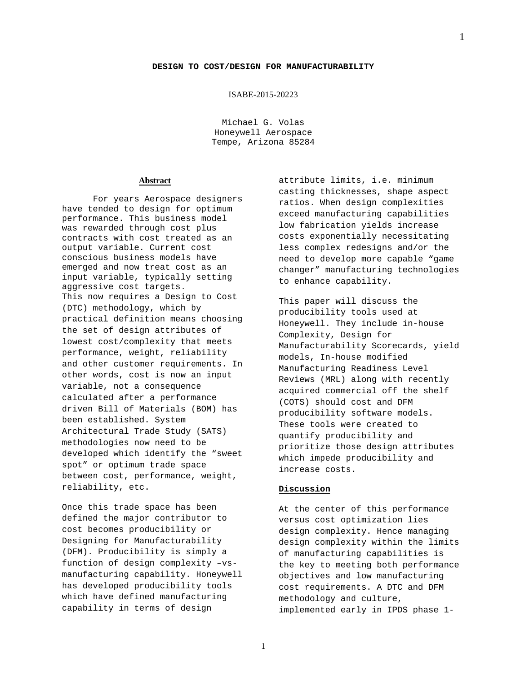## ISABE-2015-20223

Michael G. Volas Honeywell Aerospace Tempe, Arizona 85284

## **Abstract**

For years Aerospace designers have tended to design for optimum performance. This business model was rewarded through cost plus contracts with cost treated as an output variable. Current cost conscious business models have emerged and now treat cost as an input variable, typically setting aggressive cost targets. This now requires a Design to Cost (DTC) methodology, which by practical definition means choosing the set of design attributes of lowest cost/complexity that meets performance, weight, reliability and other customer requirements. In other words, cost is now an input variable, not a consequence calculated after a performance driven Bill of Materials (BOM) has been established. System Architectural Trade Study (SATS) methodologies now need to be developed which identify the "sweet spot" or optimum trade space between cost, performance, weight, reliability, etc.

Once this trade space has been defined the major contributor to cost becomes producibility or Designing for Manufacturability (DFM). Producibility is simply a function of design complexity –vsmanufacturing capability. Honeywell has developed producibility tools which have defined manufacturing capability in terms of design

attribute limits, i.e. minimum casting thicknesses, shape aspect ratios. When design complexities exceed manufacturing capabilities low fabrication yields increase costs exponentially necessitating less complex redesigns and/or the need to develop more capable "game changer" manufacturing technologies to enhance capability.

This paper will discuss the producibility tools used at Honeywell. They include in-house Complexity, Design for Manufacturability Scorecards, yield models, In-house modified Manufacturing Readiness Level Reviews (MRL) along with recently acquired commercial off the shelf (COTS) should cost and DFM producibility software models. These tools were created to quantify producibility and prioritize those design attributes which impede producibility and increase costs.

## **Discussion**

At the center of this performance versus cost optimization lies design complexity. Hence managing design complexity within the limits of manufacturing capabilities is the key to meeting both performance objectives and low manufacturing cost requirements. A DTC and DFM methodology and culture, implemented early in IPDS phase 1-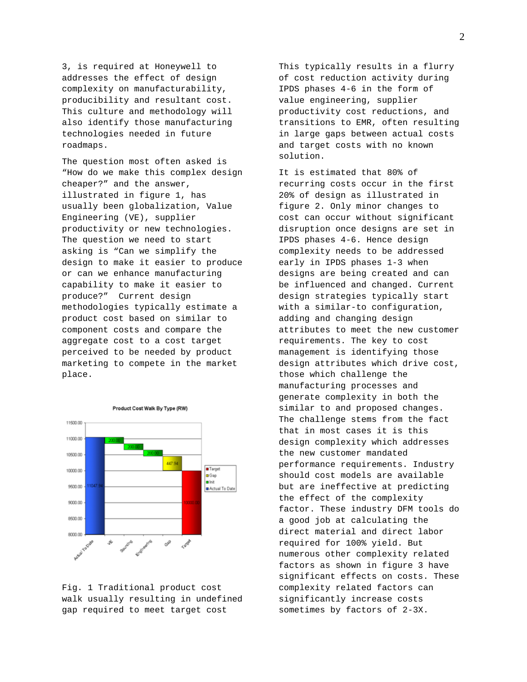3, is required at Honeywell to addresses the effect of design complexity on manufacturability, producibility and resultant cost. This culture and methodology will also identify those manufacturing technologies needed in future roadmaps.

The question most often asked is "How do we make this complex design cheaper?" and the answer, illustrated in figure 1, has usually been globalization, Value Engineering (VE), supplier productivity or new technologies. The question we need to start asking is "Can we simplify the design to make it easier to produce or can we enhance manufacturing capability to make it easier to produce?" Current design methodologies typically estimate a product cost based on similar to component costs and compare the aggregate cost to a cost target perceived to be needed by product marketing to compete in the market place.



Fig. 1 Traditional product cost walk usually resulting in undefined gap required to meet target cost

This typically results in a flurry of cost reduction activity during IPDS phases 4-6 in the form of value engineering, supplier productivity cost reductions, and transitions to EMR, often resulting in large gaps between actual costs and target costs with no known solution.

It is estimated that 80% of recurring costs occur in the first 20% of design as illustrated in figure 2. Only minor changes to cost can occur without significant disruption once designs are set in IPDS phases 4-6. Hence design complexity needs to be addressed early in IPDS phases 1-3 when designs are being created and can be influenced and changed. Current design strategies typically start with a similar-to configuration, adding and changing design attributes to meet the new customer requirements. The key to cost management is identifying those design attributes which drive cost, those which challenge the manufacturing processes and generate complexity in both the similar to and proposed changes. The challenge stems from the fact that in most cases it is this design complexity which addresses the new customer mandated performance requirements. Industry should cost models are available but are ineffective at predicting the effect of the complexity factor. These industry DFM tools do a good job at calculating the direct material and direct labor required for 100% yield. But numerous other complexity related factors as shown in figure 3 have significant effects on costs. These complexity related factors can significantly increase costs sometimes by factors of 2-3X.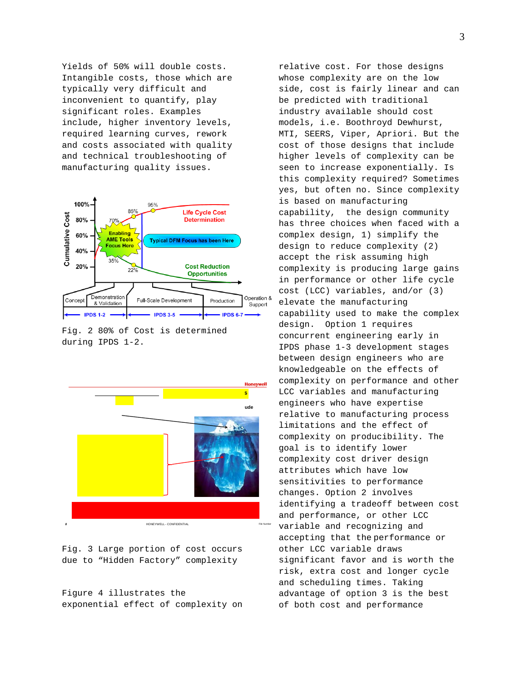Yields of 50% will double costs. Intangible costs, those which are typically very difficult and inconvenient to quantify, play significant roles. Examples include, higher inventory levels, required learning curves, rework and costs associated with quality and technical troubleshooting of manufacturing quality issues.



Fig. 2 80% of Cost is determined during IPDS 1-2.



Fig. 3 Large portion of cost occurs due to "Hidden Factory" complexity

Figure 4 illustrates the exponential effect of complexity on relative cost. For those designs whose complexity are on the low side, cost is fairly linear and can be predicted with traditional industry available should cost models, i.e. Boothroyd Dewhurst, MTI, SEERS, Viper, Apriori. But the cost of those designs that include higher levels of complexity can be seen to increase exponentially. Is this complexity required? Sometimes yes, but often no. Since complexity is based on manufacturing capability, the design community has three choices when faced with a complex design, 1) simplify the design to reduce complexity (2) accept the risk assuming high complexity is producing large gains in performance or other life cycle cost (LCC) variables, and/or (3) elevate the manufacturing capability used to make the complex design. Option 1 requires concurrent engineering early in IPDS phase 1-3 development stages between design engineers who are knowledgeable on the effects of complexity on performance and other LCC variables and manufacturing engineers who have expertise relative to manufacturing process limitations and the effect of complexity on producibility. The goal is to identify lower complexity cost driver design attributes which have low sensitivities to performance changes. Option 2 involves identifying a tradeoff between cost and performance, or other LCC variable and recognizing and accepting that the performance or other LCC variable draws significant favor and is worth the risk, extra cost and longer cycle and scheduling times. Taking advantage of option 3 is the best of both cost and performance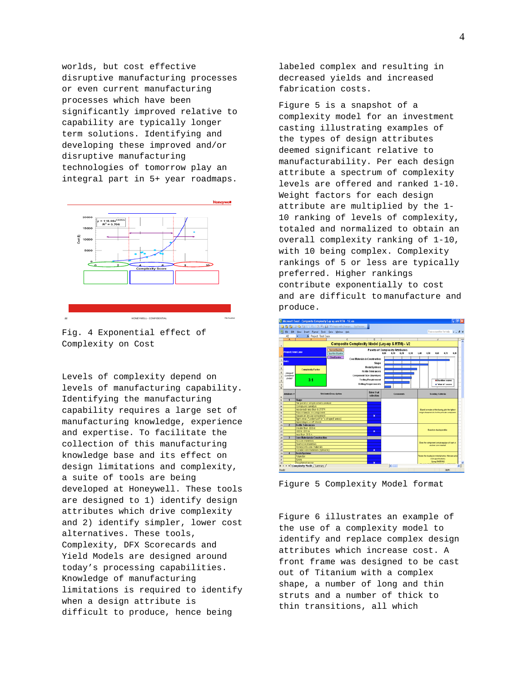worlds, but cost effective disruptive manufacturing processes or even current manufacturing processes which have been significantly improved relative to capability are typically longer term solutions. Identifying and developing these improved and/or disruptive manufacturing technologies of tomorrow play an integral part in 5+ year roadmaps.



Fig. 4 Exponential effect of Complexity on Cost

Levels of complexity depend on levels of manufacturing capability. Identifying the manufacturing capability requires a large set of manufacturing knowledge, experience and expertise. To facilitate the collection of this manufacturing knowledge base and its effect on design limitations and complexity, a suite of tools are being developed at Honeywell. These tools are designed to 1) identify design attributes which drive complexity and 2) identify simpler, lower cost alternatives. These tools, Complexity, DFX Scorecards and Yield Models are designed around today's processing capabilities. Knowledge of manufacturing limitations is required to identify when a design attribute is difficult to produce, hence being

labeled complex and resulting in decreased yields and increased fabrication costs.

Figure 5 is a snapshot of a complexity model for an investment casting illustrating examples of the types of design attributes deemed significant relative to manufacturability. Per each design attribute a spectrum of complexity levels are offered and ranked 1-10. Weight factors for each design attribute are multiplied by the 1- 10 ranking of levels of complexity, totaled and normalized to obtain an overall complexity ranking of 1-10, with 10 being complex. Complexity rankings of 5 or less are typically preferred. Higher rankings contribute exponentially to cost and are difficult to manufacture and produce.



Figure 5 Complexity Model format

Figure 6 illustrates an example of the use of a complexity model to identify and replace complex design attributes which increase cost. A front frame was designed to be cast out of Titanium with a complex shape, a number of long and thin struts and a number of thick to thin transitions, all which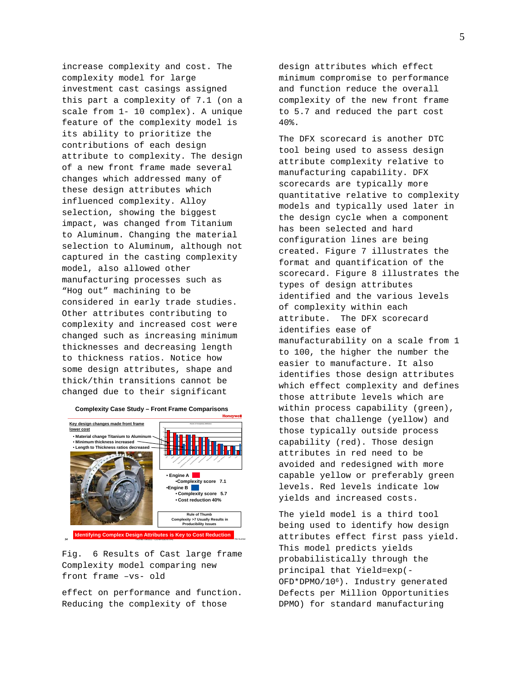increase complexity and cost. The complexity model for large investment cast casings assigned this part a complexity of 7.1 (on a scale from 1- 10 complex). A unique feature of the complexity model is its ability to prioritize the contributions of each design attribute to complexity. The design of a new front frame made several changes which addressed many of these design attributes which influenced complexity. Alloy selection, showing the biggest impact, was changed from Titanium to Aluminum. Changing the material selection to Aluminum, although not captured in the casting complexity model, also allowed other manufacturing processes such as "Hog out" machining to be considered in early trade studies. Other attributes contributing to complexity and increased cost were changed such as increasing minimum thicknesses and decreasing length to thickness ratios. Notice how some design attributes, shape and thick/thin transitions cannot be changed due to their significant

Alloy Shape Minimum thickness Thick to thin transitions Length/thickness ratio(worst case) Controlled fixed process Special processing Datum targets Pour weight Profile Tolerances Cores **Complexity** • **Engine A** •**Complexity score 7.1** •**Engine B** • **Complexity score 5.7** • **Cost reduction 40% Complexity Case Study – Front Frame Comparisons • Material change Titanium to A** • **Minimum thickness increased • Length to Thickness ratios decreased Key design changes made front frame lower cost Identifying Complex Design Attributes is Key to Cost Reduction Rule of Thumb Complexity >7 Usually Results in Producibility Issues**

Fig. 6 Results of Cast large frame Complexity model comparing new front frame –vs- old

**34** Home Confidence in the Confidence of the Confidence of the Confidence of the Confidence of the Confidence of the Number of The Number of the Number of the Number of the Number of the Number of the Number of the Number

effect on performance and function. Reducing the complexity of those

design attributes which effect minimum compromise to performance and function reduce the overall complexity of the new front frame to 5.7 and reduced the part cost 40%.

The DFX scorecard is another DTC tool being used to assess design attribute complexity relative to manufacturing capability. DFX scorecards are typically more quantitative relative to complexity models and typically used later in the design cycle when a component has been selected and hard configuration lines are being created. Figure 7 illustrates the format and quantification of the scorecard. Figure 8 illustrates the types of design attributes identified and the various levels of complexity within each attribute. The DFX scorecard identifies ease of manufacturability on a scale from 1 to 100, the higher the number the easier to manufacture. It also identifies those design attributes which effect complexity and defines those attribute levels which are within process capability (green), those that challenge (yellow) and those typically outside process capability (red). Those design attributes in red need to be avoided and redesigned with more capable yellow or preferably green levels. Red levels indicate low yields and increased costs.

The yield model is a third tool being used to identify how design attributes effect first pass yield. This model predicts yields probabilistically through the principal that Yield=exp(- OFD\*DPMO/106). Industry generated Defects per Million Opportunities DPMO) for standard manufacturing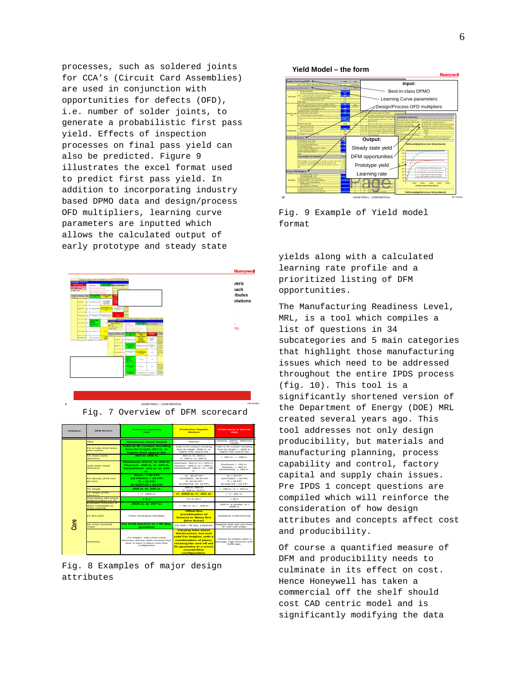processes, such as soldered joints for CCA's (Circuit Card Assemblies) are used in conjunction with opportunities for defects (OFD), i.e. number of solder joints, to generate a probabilistic first pass yield. Effects of inspection processes on final pass yield can also be predicted. Figure 9 illustrates the excel format used to predict first pass yield. In addition to incorporating industry based DPMO data and design/process OFD multipliers, learning curve parameters are inputted which allows the calculated output of early prototype and steady state





 Fig. 8 Examples of major design attributes



Fig. 9 Example of Yield model format

yields along with a calculated learning rate profile and a prioritized listing of DFM opportunities.

The Manufacturing Readiness Level, MRL, is a tool which compiles a list of questions in 34 subcategories and 5 main categories that highlight those manufacturing issues which need to be addressed throughout the entire IPDS process (fig. 10). This tool is a significantly shortened version of the Department of Energy (DOE) MRL created several years ago. This tool addresses not only design producibility, but materials and manufacturing planning, process capability and control, factory capital and supply chain issues. Pre IPDS 1 concept questions are compiled which will reinforce the consideration of how design attributes and concepts affect cost and producibility.

Of course a quantified measure of DFM and producibility needs to culminate in its effect on cost. Hence Honeywell has taken a commercial off the shelf should cost CAD centric model and is significantly modifying the data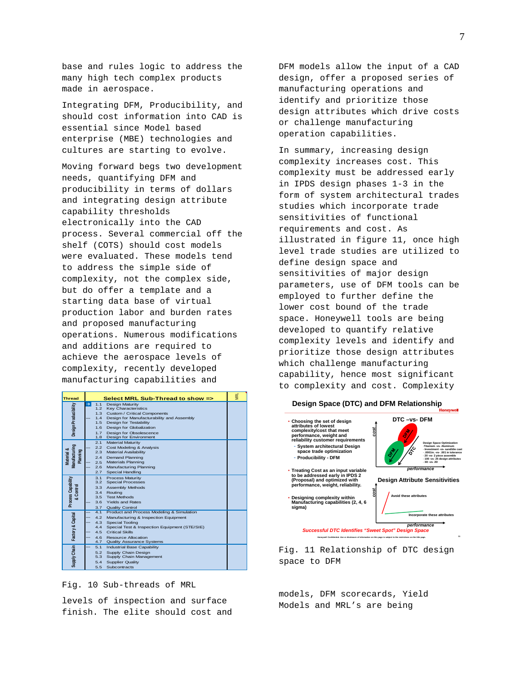base and rules logic to address the many high tech complex products made in aerospace.

Integrating DFM, Producibility, and should cost information into CAD is essential since Model based enterprise (MBE) technologies and cultures are starting to evolve.

Moving forward begs two development needs, quantifying DFM and producibility in terms of dollars and integrating design attribute capability thresholds electronically into the CAD process. Several commercial off the shelf (COTS) should cost models were evaluated. These models tend to address the simple side of complexity, not the complex side, but do offer a template and a starting data base of virtual production labor and burden rates and proposed manufacturing operations. Numerous modifications and additions are required to achieve the aerospace levels of complexity, recently developed manufacturing capabilities and

| <b>Thread</b>                           | Select MRL Sub-Thread to show => |                  |                                                                       | 렿 |
|-----------------------------------------|----------------------------------|------------------|-----------------------------------------------------------------------|---|
| Design Producibility                    | $\rightarrow$                    | 1.1              | Design Maturity                                                       |   |
|                                         |                                  | 1.2 <sub>2</sub> | <b>Kev Characteristics</b>                                            |   |
|                                         |                                  | 1.3              | Custom / Critical Components                                          |   |
|                                         |                                  | 1.4              | Design for Manufacturability and Assembly                             |   |
|                                         |                                  | 1.5              | Design for Testability                                                |   |
|                                         |                                  | 1.6              | Design for Globalization                                              |   |
|                                         |                                  | 1.7<br>1.8       | Design for Obsolescence<br>Design for Environment                     |   |
|                                         |                                  | 2.1              | <b>Material Maturity</b>                                              |   |
| Manufacturing<br>Material &<br>Planning |                                  | 2.2              | Cost Modeling & Analysis                                              |   |
|                                         |                                  | 2.3              | Material Availability                                                 |   |
|                                         |                                  | 2.4              | <b>Demand Planning</b>                                                |   |
|                                         |                                  | 2.5              | Materials Planning                                                    |   |
|                                         |                                  | 2.6              | Manufacturing Planning                                                |   |
|                                         |                                  | 2.7              | Special Handling                                                      |   |
| Process Capability<br>& Control         |                                  | 3.1              | <b>Process Maturity</b>                                               |   |
|                                         |                                  | 3.2              | <b>Special Processes</b>                                              |   |
|                                         |                                  | 3.3              | Assembly Methods                                                      |   |
|                                         |                                  | 3.4              | Routina                                                               |   |
|                                         |                                  | 3.5              | <b>Test Methods</b>                                                   |   |
|                                         |                                  | 3.6              | <b>Yields and Rates</b>                                               |   |
|                                         |                                  | 3.7              | Quality Control                                                       |   |
| Factory & Capital                       |                                  | 4.1              | Product and Process Modeling & Simulation                             |   |
|                                         |                                  | 4.2              | Manufacturing & Inspection Equipment                                  |   |
|                                         |                                  | 4.3              | Special Tooling                                                       |   |
|                                         |                                  | 4.4              | Special Test & Inspection Equipment (STE/SIE)                         |   |
|                                         |                                  | 4.5              | Critical Skills                                                       |   |
|                                         |                                  | 4.6<br>4.7       | Resource Allocation                                                   |   |
| Supply Chain                            |                                  | 5.1              | <b>Quality Assurance Systems</b><br><b>Industrial Base Capability</b> |   |
|                                         |                                  | 5.2              |                                                                       |   |
|                                         |                                  | 5.3              | Supply Chain Design<br>Supply Chain Management                        |   |
|                                         |                                  | 5.4              | <b>Supplier Quality</b>                                               |   |
|                                         |                                  | 5.5              | Subcontracts                                                          |   |



levels of inspection and surface finish. The elite should cost and DFM models allow the input of a CAD design, offer a proposed series of manufacturing operations and identify and prioritize those design attributes which drive costs or challenge manufacturing operation capabilities.

In summary, increasing design complexity increases cost. This complexity must be addressed early in IPDS design phases 1-3 in the form of system architectural trades studies which incorporate trade sensitivities of functional requirements and cost. As illustrated in figure 11, once high level trade studies are utilized to define design space and sensitivities of major design parameters, use of DFM tools can be employed to further define the lower cost bound of the trade space. Honeywell tools are being developed to quantify relative complexity levels and identify and prioritize those design attributes which challenge manufacturing capability, hence most significant to complexity and cost. Complexity



Fig. 11 Relationship of DTC design space to DFM

models, DFM scorecards, Yield Models and MRL's are being